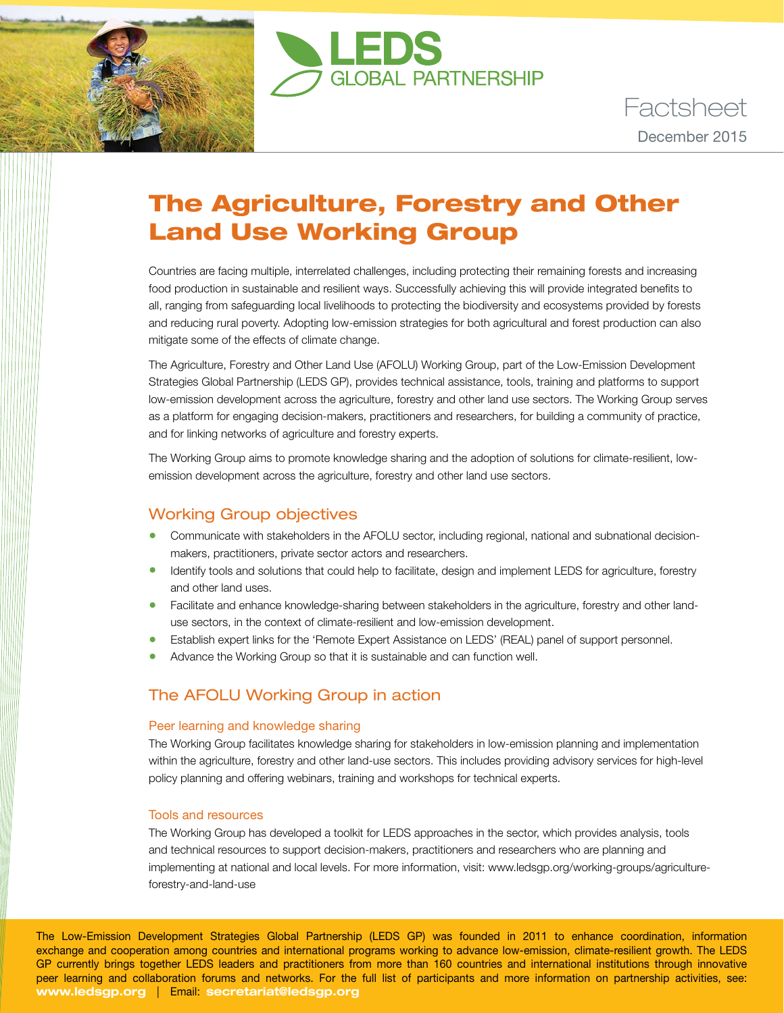



Factsheet December 2015

# The Agriculture, Forestry and Other Land Use Working Group

Countries are facing multiple, interrelated challenges, including protecting their remaining forests and increasing food production in sustainable and resilient ways. Successfully achieving this will provide integrated benefits to all, ranging from safeguarding local livelihoods to protecting the biodiversity and ecosystems provided by forests and reducing rural poverty. Adopting low-emission strategies for both agricultural and forest production can also mitigate some of the effects of climate change.

The Agriculture, Forestry and Other Land Use (AFOLU) Working Group, part of the Low-Emission Development Strategies Global Partnership (LEDS GP), provides technical assistance, tools, training and platforms to support low-emission development across the agriculture, forestry and other land use sectors. The Working Group serves as a platform for engaging decision-makers, practitioners and researchers, for building a community of practice, and for linking networks of agriculture and forestry experts.

The Working Group aims to promote knowledge sharing and the adoption of solutions for climate-resilient, lowemission development across the agriculture, forestry and other land use sectors.

## Working Group objectives

- Communicate with stakeholders in the AFOLU sector, including regional, national and subnational decisionmakers, practitioners, private sector actors and researchers.
- Identify tools and solutions that could help to facilitate, design and implement LEDS for agriculture, forestry and other land uses.
- Facilitate and enhance knowledge-sharing between stakeholders in the agriculture, forestry and other landuse sectors, in the context of climate-resilient and low-emission development.
- Establish expert links for the 'Remote Expert Assistance on LEDS' (REAL) panel of support personnel.
- Advance the Working Group so that it is sustainable and can function well.

## The AFOLU Working Group in action

#### Peer learning and knowledge sharing

The Working Group facilitates knowledge sharing for stakeholders in low-emission planning and implementation within the agriculture, forestry and other land-use sectors. This includes providing advisory services for high-level policy planning and offering webinars, training and workshops for technical experts.

#### Tools and resources

The Working Group has developed a toolkit for LEDS approaches in the sector, which provides analysis, tools and technical resources to support decision-makers, practitioners and researchers who are planning and implementing at national and local levels. For more information, visit: [www.ledsgp.org/working-groups/agriculture](http://www.ledsgp.org/working-groups/agriculture-forestry-and-land-use)[forestry-and-land-use](http://www.ledsgp.org/working-groups/agriculture-forestry-and-land-use)

The Low-Emission Development Strategies Global Partnership (LEDS GP) was founded in 2011 to enhance coordination, information exchange and cooperation among countries and international programs working to advance low-emission, climate-resilient growth. The LEDS GP currently brings together LEDS leaders and practitioners from more than 160 countries and international institutions through innovative peer learning and collaboration forums and networks. For the full list of participants and more information on partnership activities, see: **www.ledsgp.org** | Email: **secretariat@ledsgp.org**